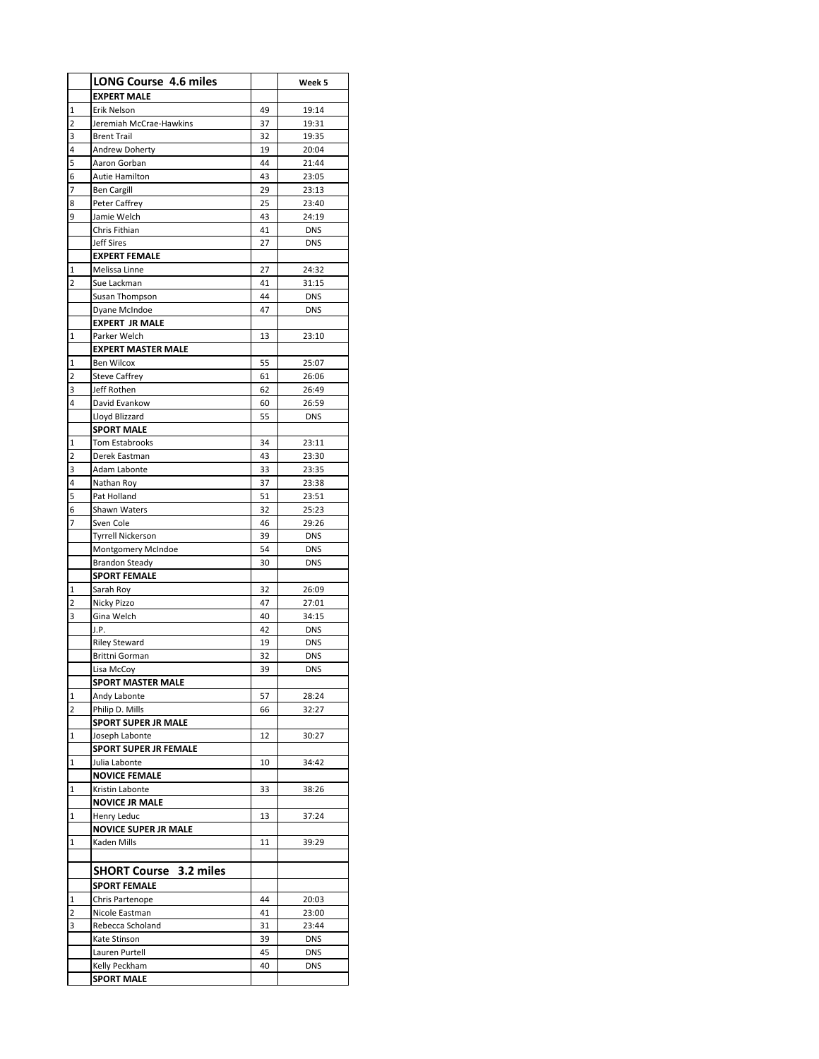|   | <b>LONG Course 4.6 miles</b>  |    | Week 5     |
|---|-------------------------------|----|------------|
|   | <b>EXPERT MALE</b>            |    |            |
| 1 | Erik Nelson                   | 49 | 19:14      |
| 2 | Jeremiah McCrae-Hawkins       | 37 | 19:31      |
| 3 | <b>Brent Trail</b>            | 32 | 19:35      |
| 4 | Andrew Doherty                | 19 | 20:04      |
| 5 | Aaron Gorban                  | 44 | 21:44      |
| 6 | Autie Hamilton                | 43 | 23:05      |
| 7 | <b>Ben Cargill</b>            | 29 | 23:13      |
| 8 | Peter Caffrey                 | 25 | 23:40      |
| 9 | Jamie Welch                   | 43 | 24:19      |
|   | Chris Fithian                 | 41 | <b>DNS</b> |
|   | <b>Jeff Sires</b>             | 27 | <b>DNS</b> |
|   | <b>EXPERT FEMALE</b>          |    |            |
| 1 | Melissa Linne                 | 27 | 24:32      |
| 2 | Sue Lackman                   | 41 | 31:15      |
|   | Susan Thompson                | 44 | <b>DNS</b> |
|   | Dyane McIndoe                 | 47 | <b>DNS</b> |
|   | <b>EXPERT JR MALE</b>         |    |            |
| 1 | Parker Welch                  | 13 | 23:10      |
|   | <b>EXPERT MASTER MALE</b>     |    |            |
| 1 | <b>Ben Wilcox</b>             | 55 | 25:07      |
| 2 | <b>Steve Caffrey</b>          | 61 | 26:06      |
| 3 | Jeff Rothen                   | 62 | 26:49      |
| 4 | David Evankow                 | 60 | 26:59      |
|   | Lloyd Blizzard                | 55 | <b>DNS</b> |
|   | <b>SPORT MALE</b>             |    |            |
| 1 | <b>Tom Estabrooks</b>         | 34 | 23:11      |
| 2 | Derek Eastman                 | 43 | 23:30      |
| 3 | Adam Labonte                  | 33 | 23:35      |
| 4 | Nathan Roy                    | 37 | 23:38      |
| 5 | Pat Holland                   | 51 | 23:51      |
| 6 | Shawn Waters                  | 32 | 25:23      |
| 7 | Sven Cole                     | 46 | 29:26      |
|   | <b>Tyrrell Nickerson</b>      | 39 | DNS        |
|   | Montgomery McIndoe            | 54 | <b>DNS</b> |
|   | <b>Brandon Steady</b>         | 30 | <b>DNS</b> |
|   | <b>SPORT FEMALE</b>           |    |            |
| 1 | Sarah Roy                     | 32 | 26:09      |
| 2 | Nicky Pizzo                   | 47 | 27:01      |
| 3 | Gina Welch                    | 40 | 34:15      |
|   | J.P.                          | 42 | <b>DNS</b> |
|   | <b>Riley Steward</b>          | 19 | <b>DNS</b> |
|   | Brittni Gorman                | 32 | <b>DNS</b> |
|   | Lisa McCoy                    | 39 | DNS        |
|   | SPORT MASTER MALE             |    |            |
| 1 | Andy Labonte                  | 57 | 28:24      |
| 2 | Philip D. Mills               | 66 | 32:27      |
|   | <b>SPORT SUPER JR MALE</b>    |    |            |
| 1 | Joseph Labonte                | 12 | 30:27      |
|   | <b>SPORT SUPER JR FEMALE</b>  |    |            |
| 1 | Julia Labonte                 | 10 | 34:42      |
|   | <b>NOVICE FEMALE</b>          |    |            |
| 1 | Kristin Labonte               | 33 | 38:26      |
|   | <b>NOVICE JR MALE</b>         |    |            |
| 1 | Henry Leduc                   | 13 | 37:24      |
|   | <b>NOVICE SUPER JR MALE</b>   |    |            |
| 1 | Kaden Mills                   | 11 | 39:29      |
|   |                               |    |            |
|   | <b>SHORT Course 3.2 miles</b> |    |            |
|   | <b>SPORT FEMALE</b>           |    |            |
| 1 | Chris Partenope               | 44 | 20:03      |
| 2 | Nicole Eastman                | 41 | 23:00      |
| 3 | Rebecca Scholand              | 31 | 23:44      |
|   | Kate Stinson                  | 39 | <b>DNS</b> |
|   | Lauren Purtell                | 45 | DNS        |
|   | Kelly Peckham                 | 40 | DNS        |
|   | <b>SPORT MALE</b>             |    |            |
|   |                               |    |            |